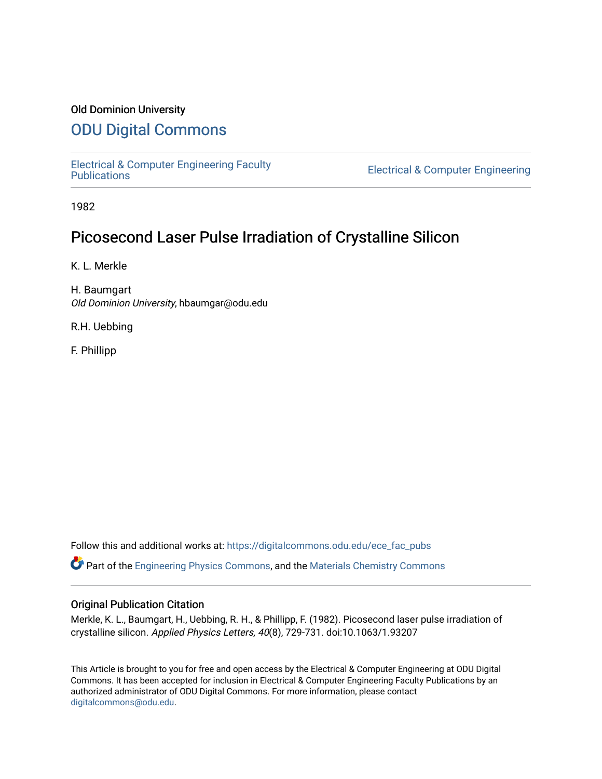### Old Dominion University

### [ODU Digital Commons](https://digitalcommons.odu.edu/)

[Electrical & Computer Engineering Faculty](https://digitalcommons.odu.edu/ece_fac_pubs) 

**Electrical & Computer Engineering** 

1982

## Picosecond Laser Pulse Irradiation of Crystalline Silicon

K. L. Merkle

H. Baumgart Old Dominion University, hbaumgar@odu.edu

R.H. Uebbing

F. Phillipp

Follow this and additional works at: [https://digitalcommons.odu.edu/ece\\_fac\\_pubs](https://digitalcommons.odu.edu/ece_fac_pubs?utm_source=digitalcommons.odu.edu%2Fece_fac_pubs%2F240&utm_medium=PDF&utm_campaign=PDFCoverPages) 

Part of the [Engineering Physics Commons](http://network.bepress.com/hgg/discipline/200?utm_source=digitalcommons.odu.edu%2Fece_fac_pubs%2F240&utm_medium=PDF&utm_campaign=PDFCoverPages), and the [Materials Chemistry Commons](http://network.bepress.com/hgg/discipline/135?utm_source=digitalcommons.odu.edu%2Fece_fac_pubs%2F240&utm_medium=PDF&utm_campaign=PDFCoverPages) 

#### Original Publication Citation

Merkle, K. L., Baumgart, H., Uebbing, R. H., & Phillipp, F. (1982). Picosecond laser pulse irradiation of crystalline silicon. Applied Physics Letters, 40(8), 729-731. doi:10.1063/1.93207

This Article is brought to you for free and open access by the Electrical & Computer Engineering at ODU Digital Commons. It has been accepted for inclusion in Electrical & Computer Engineering Faculty Publications by an authorized administrator of ODU Digital Commons. For more information, please contact [digitalcommons@odu.edu](mailto:digitalcommons@odu.edu).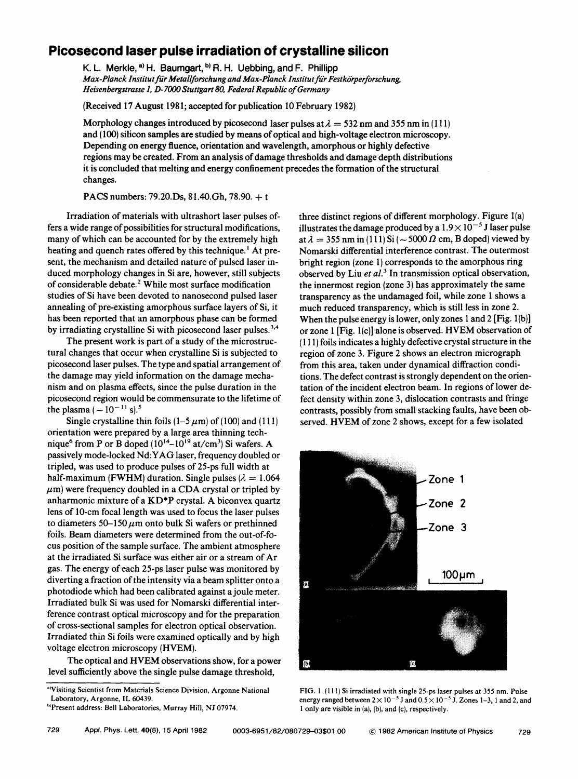### **Picosecond laser pulse irradiation of crystalline silicon**

K. L. Merkle,  $a$ ) H. Baumgart,  $b$  R. H. Uebbing, and F. Phillipp *Max-Planck Jnstitutfiir Metal/forschungand Max-Planck Institutfiir Festkiirperforschung, Heisenbergstrasse 1, D-7000 Stuttgart 80, Federal Republic of Germany* 

(Received 17 August 1981; accepted for publication 10 February 1982)

Morphology changes introduced by picosecond laser pulses at  $\lambda = 532$  nm and 355 nm in (111) and ( 100) silicon samples are studied by means of optical and high-voltage electron microscopy. Depending on energy ftuence, orientation and wavelength, amorphous or highly defective regions may be created. From an analysis of damage thresholds and damage depth distributions it is concluded that melting and energy confinement precedes the formation of the structural changes.

**PACS** numbers: 79.20.Ds, 81.40.Gh, 78.90. + <sup>t</sup>

Irradiation of materials with ultrashort laser pulses offers a wide range of possibilities for structural modifications, many of which can be accounted for by the extremely high heating and quench rates offered by this technique.<sup>1</sup> At present, the mechanism and detailed nature of pulsed laser induced morphology changes in Si are, however, still subjects of considerable debate.<sup>2</sup> While most surface modification studies of Si have been devoted to nanosecond pulsed laser annealing of pre-existing amorphous surface layers of Si, it has been reported that an amorphous phase can be formed by irradiating crystalline Si with picosecond laser pulses.<sup>3,4</sup>

The present work is part of a study of the microstructural changes that occur when crystalline Si is subjected to picosecond laser pulses. The type and spatial arrangement of the damage may yield information on the damage mechanism and on plasma effects, since the pulse duration in the picosecond region would be commensurate to the lifetime of the plasma ( $\sim 10^{-11}$  s).<sup>5</sup>

Single crystalline thin foils  $(1-5 \mu m)$  of (100) and (111) orientation were prepared by a large area thinning technique<sup>6</sup> from P or B doped  $(10^{14}-10^{19}$  at/cm<sup>3</sup>) Si wafers. A passively mode-locked **Nd: Y AG** laser, frequency doubled or tripled, was used to produce pulses of 25-ps full width at half-maximum **(FWHM)** duration. Single pulses  $\lambda = 1.064$  $\mu$ m) were frequency doubled in a CDA crystal or tripled by anharmonic mixture of a **KD\*P** crystal. **A** biconvex quartz lens of 10-cm focal length was used to focus the laser pulses to diameters  $50-150 \mu m$  onto bulk Si wafers or prethinned foils. Beam diameters were determined from the out-of-focus position of the sample surface. The ambient atmosphere at the irradiated Si surface was either air or a stream of Ar gas. The energy of each 25-ps laser pulse was monitored by diverting a fraction of the intensity via a beam splitter onto a photodiode which had been calibrated against a joule meter. Irradiated bulk Si was used for Nomarski differential interference contrast optical microscopy and for the preparation of cross-sectional samples for electron optical observation. Irradiated thin Si foils were examined optically and by high voltage electron microscopy (HVEM).

The optical and HVEM observations show, for a power level sufficiently above the single pulse damage threshold,

three distinct regions of different morphology. Figure l(a) illustrates the damage produced by a  $1.9 \times 10^{-5}$  J laser pulse at  $\lambda = 355$  nm in (111) Si ( $\sim 5000 \Omega$  cm, B doped) viewed by Nomarski differential interference contrast. The outermost bright region (zone 1) corresponds to the amorphous ring observed by Liu et al.<sup>3</sup> In transmission optical observation, the innermost region (zone 3) has approximately the same transparency as the undamaged foil, while zone 1 shows a much reduced transparency, which is still less in zone 2. When the pulse energy is lower, only zones 1 and 2 [Fig. 1(b)] or zone 1 [Fig. l(c)] alone is observed. HVEM observation of ( 111) foils indicates a highly defective crystal structure in the region of zone 3. Figure 2 shows an electron micrograph from this area, taken under dynamical diffraction conditions. The defect contrast is strongly dependent on the orientation of the incident electron beam. In regions of lower defect density within zone 3, dislocation contrasts and fringe contrasts, possibly from small stacking faults, have been observed. **HVEM** of zone 2 shows, except for a few isolated



FIG. I. (111) Si irradiated with single 25-ps laser pulses at 355 nm. Pulse energy ranged between  $2 \times 10^{-5}$  J and  $0.5 \times 10^{-5}$  J. Zones 1-3, 1 and 2, and I only are visible in (a), (b), and (c), respectively.

a'Visiting Scientist from Materials Science Division, Argonne National Laboratory, Argonne, IL 60439.

b1Present address: Bell Laboratories, Murray Hill, NJ 07974.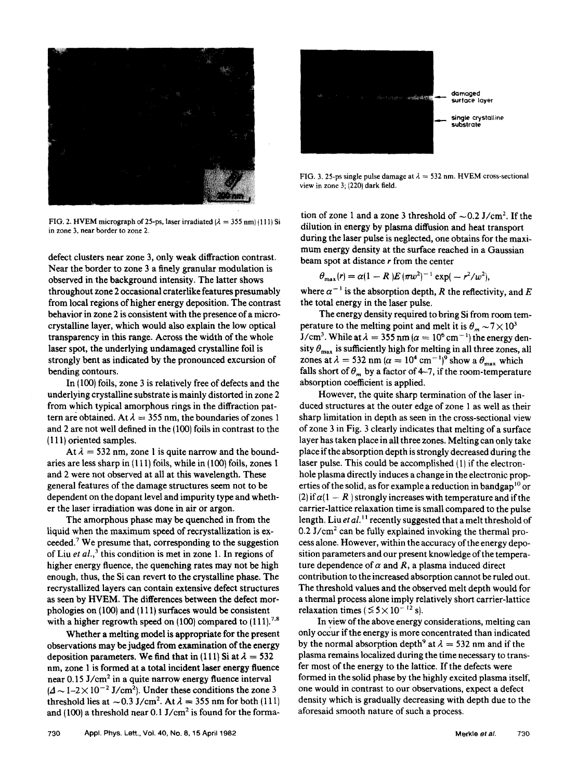

FIG. 2. HVEM micrograph of 25-ps, laser irradiated  $(\lambda = 355 \text{ nm})$  (111) Si in zone 3, near border to zone 2.

defect clusters near zone 3, only **weak** diffraction contrast. Near the border to zone 3 a finely granular modulation is observed in the background intensity. The latter shows throughout zone 2 occasional craterlike features presumably from local regions of higher energy deposition. The contrast behavior in zone 2 is consistent with the presence of a microcrystalline layer, which would also explain the low optical transparency in this range. Across the width of the whole laser spot, the underlying undamaged crystalline foil is strongly bent as indicated by the pronounced excursion of bending contours.

In ( 100) foils, zone 3 is relatively free of defects and the underlying crystalline substrate is mainly distorted in zone 2 from which typical amorphous rings in the diffraction pattern are obtained. At  $\lambda=355$  nm, the boundaries of zones 1 and 2 are not well defined in the (100) foils in contrast to the ( 111) oriented samples.

At  $\lambda = 532$  nm, zone 1 is quite narrow and the boundaries are less sharp in ( 111) foils, while in ( 100) foils, zones 1 and 2 were not observed at all at this wavelength. These general features of the damage structures seem not to be dependent on the dopant level and impurity type and whether the laser irradiation was done in air or argon.

The amorphous phase may be quenched in from the liquid when the maximum speed of recrystallization is exceeded.<sup>7</sup> We presume that, corresponding to the suggestion of Liu *et al.*,<sup>3</sup> this condition is met in zone 1. In regions of higher energy fluence, the quenching rates may not be high enough, thus, the Si can revert to the crystalline phase. The recrystallized layers can contain extensive defect structures as seen by **HVEM.** The differences between the defect morphologies on ( 100) and ( 111) surfaces would be consistent with a higher regrowth speed on  $(100)$  compared to  $(111).^{7.8}$ 

Whether a melting model is appropriate for the present observations may be judged from examination of the energy deposition parameters. We find that in (111) Si at  $\lambda = 532$ nm, zone 1 is formed at a total incident laser energy fluence near  $0.15$  J/cm<sup>2</sup> in a quite narrow energy fluence interval  $(4 \sim 1-2 \times 10^{-2} \text{ J/cm}^2)$ . Under these conditions the zone 3 threshold lies at  $\sim 0.3$  J/cm<sup>2</sup>. At  $\lambda = 355$  nm for both (111) and (100) a threshold near  $0.1$  J/cm<sup>2</sup> is found for the forma-



FIG. 3. 25-ps single pulse damage at  $\lambda = 532$  nm. HVEM cross-sectional view in zone 3; (220) dark field.

tion of zone 1 and a zone 3 threshold of  $\sim 0.2$  J/cm<sup>2</sup>. If the dilution in energy by plasma diffusion and heat transport during the laser pulse is neglected, one obtains for the maximum energy density at the surface reached in a Gaussian beam spot at distance *r* from the center

$$
\theta_{\max}(r) = \alpha (1 - R) E (\pi w^2)^{-1} \exp(-r^2/w^2),
$$

where  $\alpha^{-1}$  is the absorption depth, *R* the reflectivity, and *E* the total energy in the laser pulse.

The energy density required to bring Si from room temperature to the melting point and melt it is  $\theta_m \sim 7 \times 10^3$  $J/cm^3$ . While at  $\lambda = 355$  nm ( $\alpha = 10^6$  cm<sup>-1</sup>) the energy density  $\theta_{\text{max}}$  is sufficiently high for melting in all three zones, all zones at  $\lambda = 532$  nm ( $\alpha = 10^4$  cm<sup>-1</sup>)<sup>9</sup> show a  $\theta_{\text{max}}$  which falls short of  $\theta_m$  by a factor of 4-7, if the room-temperature absorption coefficient is applied.

However, the quite sharp termination of the laser induced structures at the outer edge of zone 1 as well as their sharp limitation in depth as seen in the cross-sectional view of zone 3 in Fig. 3 clearly indicates that melting of a surface layer has taken place in all three zones. Melting can only take place if the absorption depth is strongly decreased during the laser pulse. This could be accomplished (I) if the electronhole plasma directly induces a change in the electronic properties of the solid, as for example a reduction in bandgap<sup>10</sup> or (2) if  $\alpha(1 - R)$  strongly increases with temperature and if the carrier-lattice relaxation time is small compared to the pulse length. Liu *et al.*<sup>11</sup> recently suggested that a melt threshold of  $0.2$  J/cm<sup>2</sup> can be fully explained invoking the thermal process alone. However, within the accuracy of the energy deposition parameters and our present knowledge of the temperature dependence of  $\alpha$  and  $R$ , a plasma induced direct contribution to the increased absorption cannot be ruled out. The threshold values and the observed melt depth would for a thermal process alone imply relatively short carrier-lattice relaxation times ( $\leq 5 \times 10^{-12}$  s).

In view of the above energy considerations, melting can only occur if the energy is more concentrated than indicated by the normal absorption depth<sup>9</sup> at  $\lambda = 532$  nm and if the plasma remains localized during the time necessary to transfer most of the energy to the lattice. If the defects were formed in the solid phase by the highly excited plasma itself, one would in contrast to our observations, expect a defect density which is gradually decreasing with depth due to the aforesaid smooth nature of such a process.